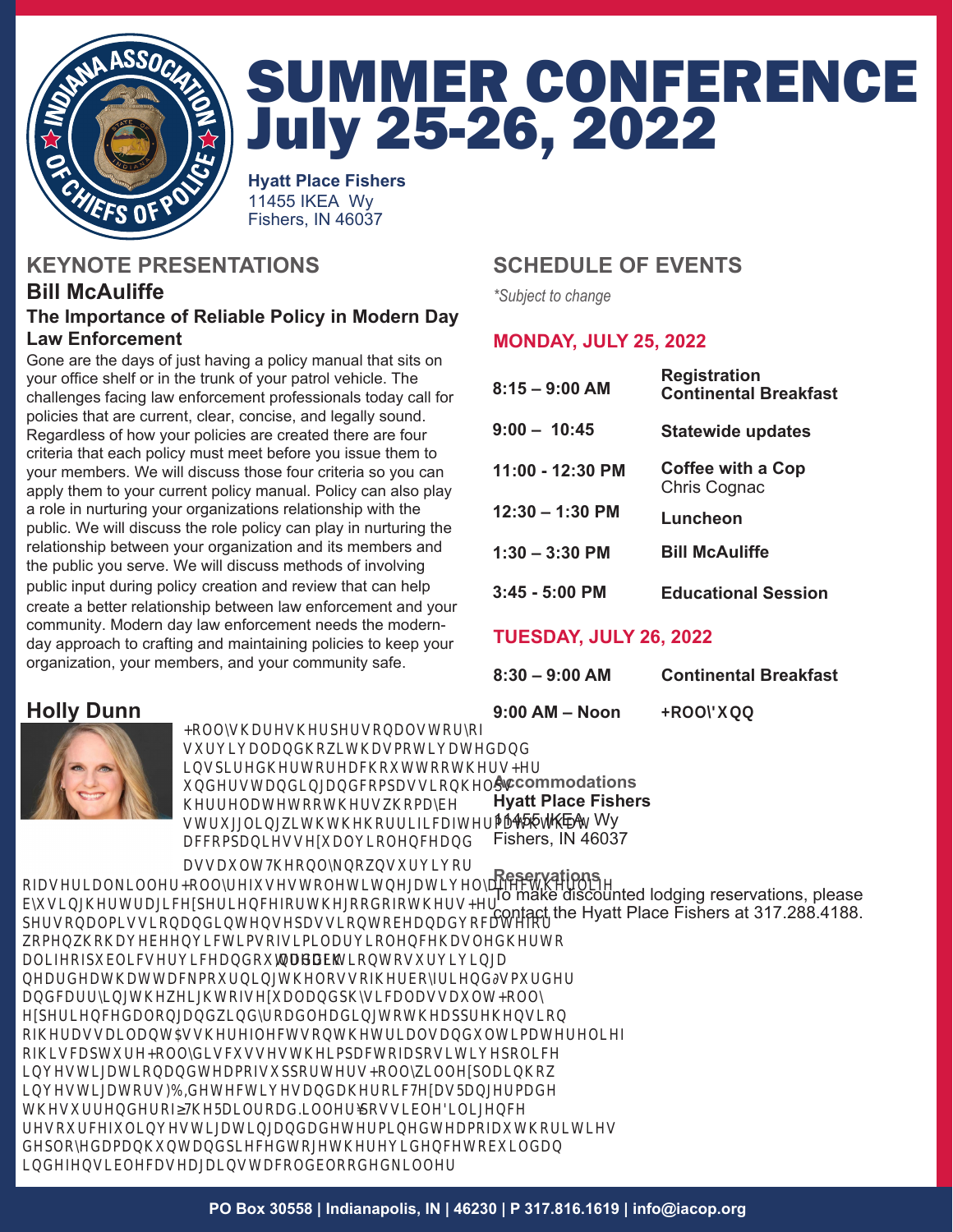

# **SUMMER CONFERENCE July 25-26, 2022**

**Hyatt Place Fishers 11455 IKEA Wv** Fishers. IN 46037

# **KEYNOTE PRESENTATIONS**

### **Bill McAuliffe** The Importance of Reliable Policy in Modern Day **Law Enforcement**

Gone are the days of just having a policy manual that sits on your office shelf or in the trunk of your patrol vehicle. The challenges facing law enforcement professionals today call for policies that are current, clear, concise, and legally sound. Regardless of how your policies are created there are four criteria that each policy must meet before you issue them to your members. We will discuss those four criteria so you can apply them to your current policy manual. Policy can also play a role in nurturing your organizations relationship with the public. We will discuss the role policy can play in nurturing the relationship between your organization and its members and the public you serve. We will discuss methods of involving public input during policy creation and review that can help create a better relationship between law enforcement and your community. Modern day law enforcement needs the modernday approach to crafting and maintaining policies to keep your organization, your members, and your community safe.

# **Holly Dunn**

Holly shares her ersonal story o s r i al an ho it has oti ate an ins ire her to reach o t to others Her n erstan ing an co assion hel s her relate to others ho ay e str ggling ith the horri ic a ter ath that acco anies se al iolence an

assalt he only no ns rior o a serial iller, Holly re ses to let it negati ely a ect her li e y sing her tragic e erience or the goo o others Her ersonal ission an intense assion to e an a ocate or o en ho ha e een icti so si ilar iolence has le her to alieo lic ser ice an o treach In a ition to s r i ing a near eath attac, o rning the loss o her oy rien s r er, an carrying the eight o se al an hysical assa It, Holly e erience along an in y roa lea ing to the a rehension o her assailant As she re lects on the trials an Iti ate relie o his ca t re, Holly isc sses the i act o a ositi e olice in estigation an tea o s orters Holly ill e lain ho in estigators, F I etecti es, an a heroic e as anger a e the s rren er o he ailroa Killer ossi le iligence, reso rce I in estigating, an a eter ine tea o a thorities e loye a anh nt an iece together e i ence to il an in e ensi le case against a col loo e iller

## **SCHEDULE OF EVENTS**

\*Subject to change

## **MONDAY, JULY 25, 2022**

| $8:15 - 9:00$ AM  | Registration<br><b>Continental Breakfast</b> |  |
|-------------------|----------------------------------------------|--|
| $9:00 - 10:45$    | <b>Statewide updates</b>                     |  |
| 11:00 - 12:30 PM  | Coffee with a Cop<br>Chris Cognac            |  |
| $12:30 - 1:30$ PM | Luncheon                                     |  |
| $1:30 - 3:30$ PM  | <b>Bill McAuliffe</b>                        |  |
| $3:45 - 5:00$ PM  | <b>Educational Session</b>                   |  |

## **TUESDAY, JULY 26, 2022**

| 8:30 – 9:00 AM | <b>Continental Breakfast</b> |
|----------------|------------------------------|
| 9:00 AM – Noon | <b>Holly Dunn</b>            |

**Accommodations Hyatt Place Fishers** 11455 IKEA Wy Fishers, IN 46037

**Reservations** 

To make discounted lodging reservations, please contact the Hyatt Place Fishers at 317.288.4188.